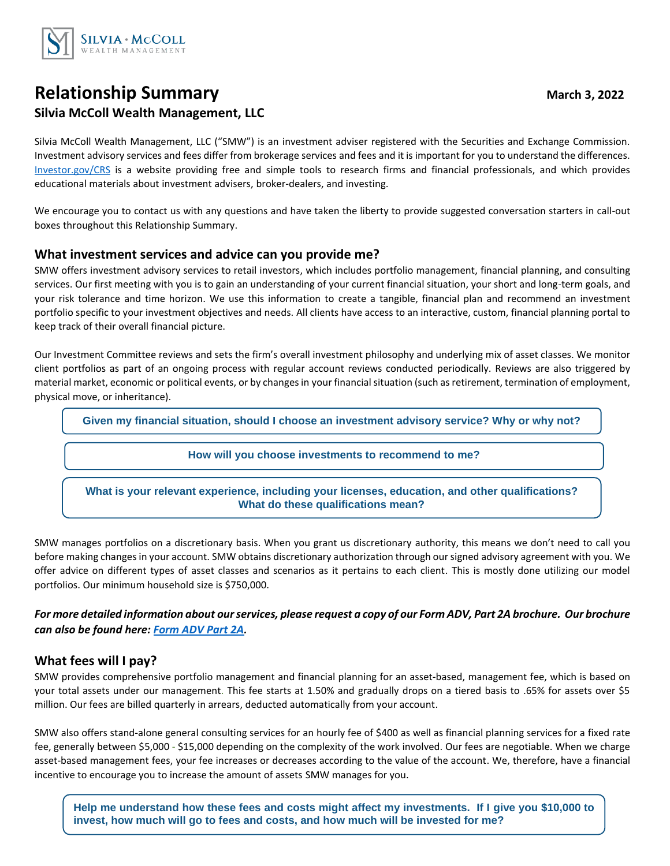

# **Relationship Summary March 3, 2022 Silvia McColl Wealth Management, LLC**

Silvia McColl Wealth Management, LLC ("SMW") is an investment adviser registered with the Securities and Exchange Commission. Investment advisory services and fees differ from brokerage services and fees and it is important for you to understand the differences. [Investor.gov/CRS](https://investor.gov/?CRS) is a website providing free and simple tools to research firms and financial professionals, and which provides educational materials about investment advisers, broker-dealers, and investing.

We encourage you to contact us with any questions and have taken the liberty to provide suggested conversation starters in call-out boxes throughout this Relationship Summary.

### **What investment services and advice can you provide me?**

SMW offers investment advisory services to retail investors, which includes portfolio management, financial planning, and consulting services. Our first meeting with you is to gain an understanding of your current financial situation, your short and long-term goals, and your risk tolerance and time horizon. We use this information to create a tangible, financial plan and recommend an investment portfolio specific to your investment objectives and needs. All clients have access to an interactive, custom, financial planning portal to keep track of their overall financial picture.

Our Investment Committee reviews and sets the firm's overall investment philosophy and underlying mix of asset classes. We monitor client portfolios as part of an ongoing process with regular account reviews conducted periodically. Reviews are also triggered by material market, economic or political events, or by changes in your financial situation (such as retirement, termination of employment, physical move, or inheritance).

**Given my financial situation, should I choose an investment advisory service? Why or why not?**

#### **How will you choose investments to recommend to me?**

**What is your relevant experience, including your licenses, education, and other qualifications? What do these qualifications mean?**

SMW manages portfolios on a discretionary basis. When you grant us discretionary authority, this means we don't need to call you before making changes in your account. SMW obtains discretionary authorization through our signed advisory agreement with you. We offer advice on different types of asset classes and scenarios as it pertains to each client. This is mostly done utilizing our model portfolios. Our minimum household size is \$750,000.

*For more detailed information about ourservices, please request a copy of our Form ADV, Part 2A brochure. Our brochure can also be found here: [Form ADV Part 2A](https://adviserinfo.sec.gov/firm/brochure/295339).*

# **What fees will I pay?**

SMW provides comprehensive portfolio management and financial planning for an asset-based, management fee, which is based on your total assets under our management. This fee starts at 1.50% and gradually drops on a tiered basis to .65% for assets over \$5 million. Our fees are billed quarterly in arrears, deducted automatically from your account.

SMW also offers stand-alone general consulting services for an hourly fee of \$400 as well as financial planning services for a fixed rate fee, generally between \$5,000 - \$15,000 depending on the complexity of the work involved. Our fees are negotiable. When we charge asset-based management fees, your fee increases or decreases according to the value of the account. We, therefore, have a financial incentive to encourage you to increase the amount of assets SMW manages for you.

**Help me understand how these fees and costs might affect my investments. If I give you \$10,000 to invest, how much will go to fees and costs, and how much will be invested for me?**